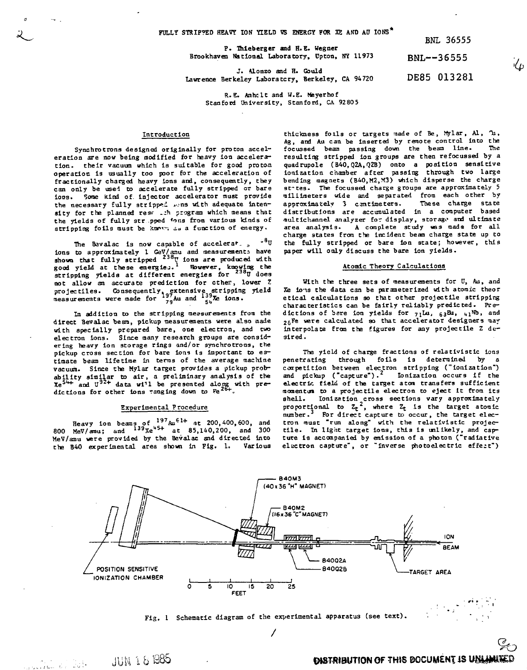**FULLY STRIP?ED HEAVY ION YIELD VS ENERGY FOR XE AND AD IONS\***

BNL 36555

 $\mathcal{L}_{D}$ 

**P. Thleberger and H.E. Wegner Brookhaven national Laboratory, Upton, NY 11973** BNL—-36555

**J. Uonzo and H. Gould Lawrence Berkeley Laboratory, Berkeley, CA 94720** DE85 013281

**R. E. Anhclt and W.E. Meyerhof Stanford University , Stanford, CA 92805**

## **Introduction**

**Synchrotrons designed originally for proton acceleration are now being modified for heavy ion acceleration, their vacuum which is suitable for good proton operation is usually too poor for the acceleration of fractionally charged heavy ions and, consequently, they can only be used to accelerate fully stripped or bare loos. Some kind of. injector accelerator must provide** the necessary fully stripped sons with adequate inten**sity for the planned resr \_.:h program which means that the yields of fully str pped \*ons from various kinds of stripping foils must be Icnov. aa a function of energy.**

The Bavalac is now capable of accelerar.,  $\frac{8}{3}$ **ions to approximately 1 GeV/amu and measurements have shown that fully stripped <sup>238</sup>U ions are produced with good yield at these energiej.<sup>1</sup> However, knowing the stripping yields at different energies for <sup>238</sup>U doea not allow an accurate prediction for other, lower** *Z* **projectiles. Consequently, extensive stripping yield measurements were made for 79 Au and ions.**

**In addition to the stripping measurements from the direct Bevalac beam, pickup measurements were also made with specially prepared bare, one electron, and two electron Ions. Since many research groups are considering heavy ion storage rings and/or synchrotrons, the pickup cross section for bare ions Is Important to estimate beam lifetime In terras of the average machine vacuum. Since Che Mylar target provides a pickup probabilit y similar to air , a preliminary analysis of the**  $Xe^{54}$  and  $U^{92+}$  data wi<sup>11</sup> be presented along with predictions for other ions ranging down to Fe<sup>26+</sup>.

## **Experimental Procedure**

**Heavy ion beams of <sup>197</sup>Au6 1 <sup>+</sup> at 200,400,600, and 800 MeV/arau; and <sup>139</sup>Xe"<sup>5</sup> <sup>+</sup> at 85,140,200, and 300 MeV/amu were provided by the Bevalac and directed into the B40 experimental area shown in Fig. 1. Various**

**JUN 18 1985** 

والمنتشر المنافي والمنافي والمنافي والمنافي والمنافي والمنافي والمنافي والمنافي والمنافس والمنافسة والمنافسة والمنافسة والمنافسة والمنافسة والمنافسة والمنافسة والمنافسة والمنافسة والمنافسة والمنافسة والمنافسة والمنافسة وا

**thiekness foils or targets made of Be, Mylar, Al, Ti, Ag, and Au can be Inserted by remote control into the** focussed beam passing down the beam line. **resulting stripped ion groups are then refocussed by a quadrupole (B40,Q2A,Q2B) onto a position sensitive ionization chamber after passing through two large bending magnets (B40.M2.M3) which disperse the charge at-tes. The focussed charge groups are approximately 5 millimeters wide and separated from each other by** approximately 3 centimeters. **distributions are accumulated in a computer based multichannel analyzer for display, storage and ultimate area analysis. A complete study was mads for all charge states from the incident beam charge state up to the fully stripped or bare ion state ; however, this paper will only discuss the bare ion yields.**

# **Atomic Theory Calculations**

**With the three sets of measurements for U, Au, and Xe lo-ts the data can be parameterized with atomic theor etica l calculations so that other projectile stripping characteristic s can be fairly reliably predicted. Pre**dictions of bare ion yields for 71Lu, 63Eu, 41Nb, and **<sup>2</sup>gFe were calculated so that accelerator designers ma;' interpolate from the figures for any projectile Z desired.**

The yield of charge fractions of relativistic ions **penetrating through foils is determined by a competition between electron stripping ("ionization") and pickup ("capture"). Ionization occurs if the** electric field of the target atom transfers sufficient momentum to a projectile electron to eject it from its **8hell. Ionization cross sections vary approximately proportional to Zj <sup>2</sup> , where Zj is the target atomic** number.<sup>3</sup> For direct capture to occur, the target electron must "run along" with the relativistic projec**tile . In light target ions, this Is unlikely, and capture is accompanied by emission of a photon ("radiative** electron capture", or "inverse photoelectric effect")



**Fig. 1 Schematic diagram of the experimental apparatus (see text).**

**So DISTRIBUTION OF THIS BOCUMENT IS UNLINUTED**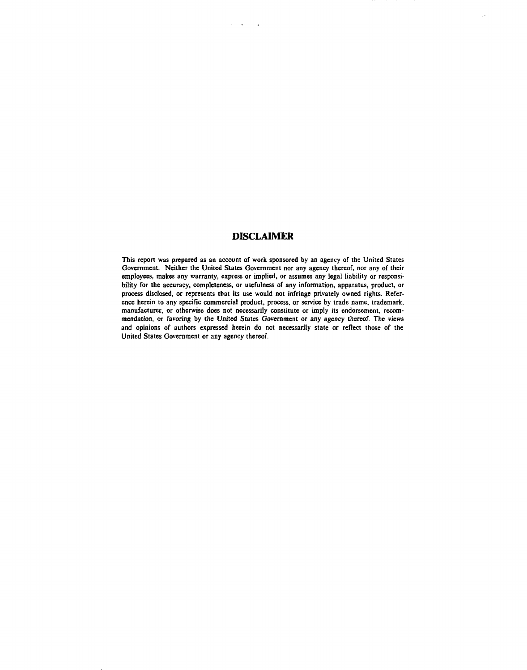# **DISCLAIMER**

 $\mathcal{L}^{\text{max}}(\mathbf{z})$  . The  $\mathcal{L}^{\text{max}}(\mathbf{z})$ 

έk.

 $\sim$ 

**This report was prepared as an account of work sponsored by an agency of the United States Government. Neither the United States Government nor any agency thereof, nor any of their** employees, makes any warranty, express or implied, or assumes any legal liability or responsi**bility for the accuracy, completeness, or usefulness of any information, apparatus, product, or process disclosed, or represents that its use would not infringe privately owned rights. Reference herein to any specific commercial product, process, or service by trade name, trademark,** manufacturer, or otherwise does not necessarily constitute or imply its endorsement, recom**mendation, or favoring by the United States Government or any agency thereof. The views and opinions of authors expressed herein do not necessarily state or reflect those of the United States Government or any agency thereof.**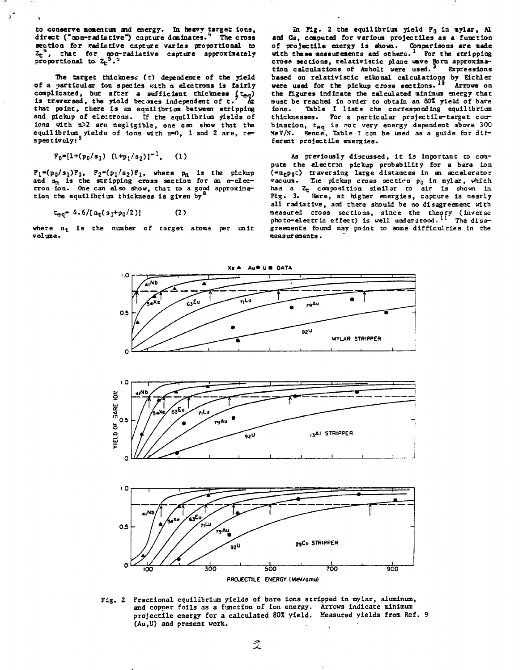**to conserve momenl:in and energy. In heavy target Ions,** direct ("non-radiative") capture dominates." The cross **section for radiative capture varies proportional to**  $Z_t^2$ , that for non-radiative capture approximately<br>proportional to  $Z_t^5$ .<sup>5</sup> **proportional to. Z<sup>t</sup>**

**The target thickness (c) dependence of the yield of a particular Ion species Kith n electrons Is fairly** complicated, but after a sufficient thickness  $(t_{eq})$ **Is traversed, the yiold becnes Independent of t. At that point, there is an equilibrium between stripping and pickup of electron;!. If the equilibrium yields of Ions with n>2 are negligible, one can show that the** equilibrium yields of ions with n=0, 1 and 2 are, re**spectively: 8**

$$
F_0=[1+(p_0/s_1) (1+p_1/s_2)]^{-1}, (1)
$$

 $\mathbf{r}$ 

**where**  $p_n$  is the and s<sub>n</sub> is the stripping cross section for an n-elec**tron Ion. One can also show, that to a good approximation the equilibrium thickness is given by<sup>8</sup>**

$$
t_{eq} = 4.6/[n_t(s_1 + p_0/2)] \tag{2}
$$

**where n<sup>t</sup> is the number of target atom3 per unit volume.**

**in Fig. 2 the equilibrium yield PQ in mylar, Al and Cu, coaputed for various projectiles as a function of projectile energy is shown. Comparisons are made with these measurements and others.***<sup>1</sup>*  **For the stripping croa? sections, relativlstic plane wave Born approximation calculations of Anholt were used. Expressions based on relatlvistlc eikonal calculations by Elchler were used for the pickup cross sections. Arrows on the figures indicate the calculated minimum energy chat must be reached in order to obtain an 80Z yield of bare iono. Table I lists the corresponding equilibrium** thicknesses. For a particular projectile-target com**blnation, teq is rot very energy dependent above 300 MeV/N. Hence, Table I can be used as a guide for different projectile energies.**

**As previously discussed, it is Important to compute the electron pickup probability for a bare ion (-ntpot) traversing large distances in an accelerator vacuum. The pickup cross sectirn pg in mylar, which has a Ze composition similar to air Is shown In Fig. 3. Here, at higher energies, capture is nearly all radiative, and there should be no disagreement with measured cross sections, since the theory (inverse photo-electric effect) Is well understood. 11** The disa**greements found may point to some difficulties In the measurements.**



**Xl \* Au» U B DATA**



**Fig. 2 Fractional equilibrium yields of bare ions stripped in mylar, aluminum, and copper foils as a function of ion energy. Arrows indicate minimum projectile energy for a calculated 80% yield. Measured yields from Ref. 9 (Au,U) and present work.**

2